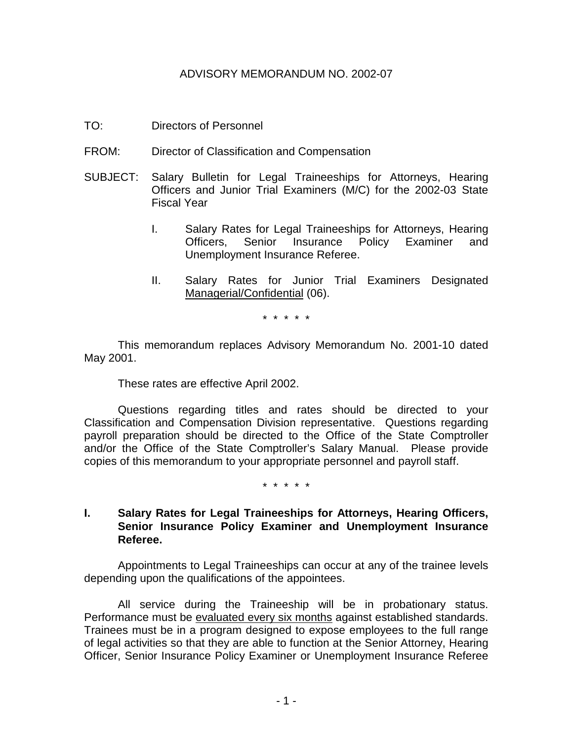### ADVISORY MEMORANDUM NO. 2002-07

- TO: Directors of Personnel
- FROM: Director of Classification and Compensation
- SUBJECT: Salary Bulletin for Legal Traineeships for Attorneys, Hearing Officers and Junior Trial Examiners (M/C) for the 2002-03 State Fiscal Year
	- I. Salary Rates for Legal Traineeships for Attorneys, Hearing Officers, Senior Insurance Policy Examiner and Unemployment Insurance Referee.
	- II. Salary Rates for Junior Trial Examiners Designated Managerial/Confidential (06).

\* \* \* \* \*

This memorandum replaces Advisory Memorandum No. 2001-10 dated May 2001.

These rates are effective April 2002.

Questions regarding titles and rates should be directed to your Classification and Compensation Division representative. Questions regarding payroll preparation should be directed to the Office of the State Comptroller and/or the Office of the State Comptroller's Salary Manual. Please provide copies of this memorandum to your appropriate personnel and payroll staff.

\* \* \* \* \*

## **I. Salary Rates for Legal Traineeships for Attorneys, Hearing Officers, Senior Insurance Policy Examiner and Unemployment Insurance Referee.**

Appointments to Legal Traineeships can occur at any of the trainee levels depending upon the qualifications of the appointees.

All service during the Traineeship will be in probationary status. Performance must be evaluated every six months against established standards. Trainees must be in a program designed to expose employees to the full range of legal activities so that they are able to function at the Senior Attorney, Hearing Officer, Senior Insurance Policy Examiner or Unemployment Insurance Referee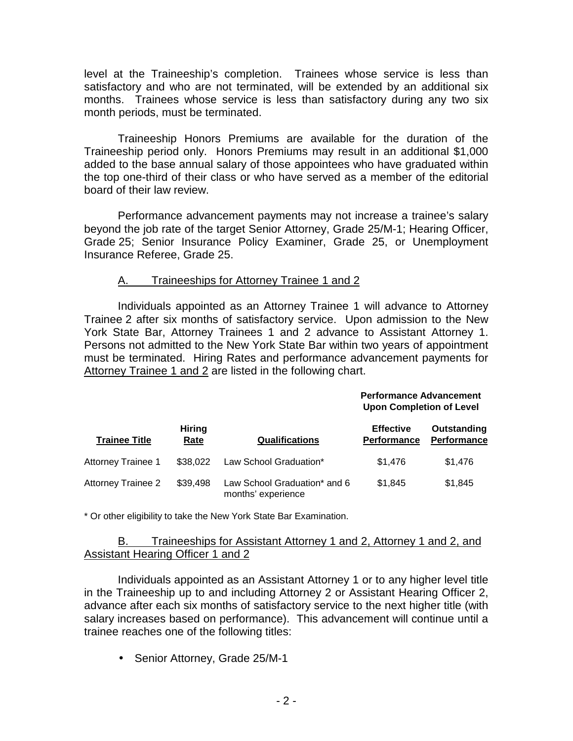level at the Traineeship's completion. Trainees whose service is less than satisfactory and who are not terminated, will be extended by an additional six months. Trainees whose service is less than satisfactory during any two six month periods, must be terminated.

Traineeship Honors Premiums are available for the duration of the Traineeship period only. Honors Premiums may result in an additional \$1,000 added to the base annual salary of those appointees who have graduated within the top one-third of their class or who have served as a member of the editorial board of their law review.

Performance advancement payments may not increase a trainee's salary beyond the job rate of the target Senior Attorney, Grade 25/M-1; Hearing Officer, Grade 25; Senior Insurance Policy Examiner, Grade 25, or Unemployment Insurance Referee, Grade 25.

# A. Traineeships for Attorney Trainee 1 and 2

Individuals appointed as an Attorney Trainee 1 will advance to Attorney Trainee 2 after six months of satisfactory service. Upon admission to the New York State Bar, Attorney Trainees 1 and 2 advance to Assistant Attorney 1. Persons not admitted to the New York State Bar within two years of appointment must be terminated. Hiring Rates and performance advancement payments for Attorney Trainee 1 and 2 are listed in the following chart.

|                      |                       |                       | <b>Performance Advancement</b><br><b>Upon Completion of Level</b> |                                   |
|----------------------|-----------------------|-----------------------|-------------------------------------------------------------------|-----------------------------------|
| <b>Trainee Title</b> | <b>Hiring</b><br>Rate | <b>Qualifications</b> | <b>Effective</b><br><b>Performance</b>                            | Outstanding<br><b>Performance</b> |

Attorney Trainee 2 \$39,498 Law School Graduation\* and 6 months' experience \$1,845 \$1,845

\* Or other eligibility to take the New York State Bar Examination.

#### B. Traineeships for Assistant Attorney 1 and 2, Attorney 1 and 2, and **Assistant Hearing Officer 1 and 2**

Attorney Trainee 1 \$38,022 Law School Graduation\* \$1,476 \$1,476

Individuals appointed as an Assistant Attorney 1 or to any higher level title in the Traineeship up to and including Attorney 2 or Assistant Hearing Officer 2, advance after each six months of satisfactory service to the next higher title (with salary increases based on performance). This advancement will continue until a trainee reaches one of the following titles:

• Senior Attorney, Grade 25/M-1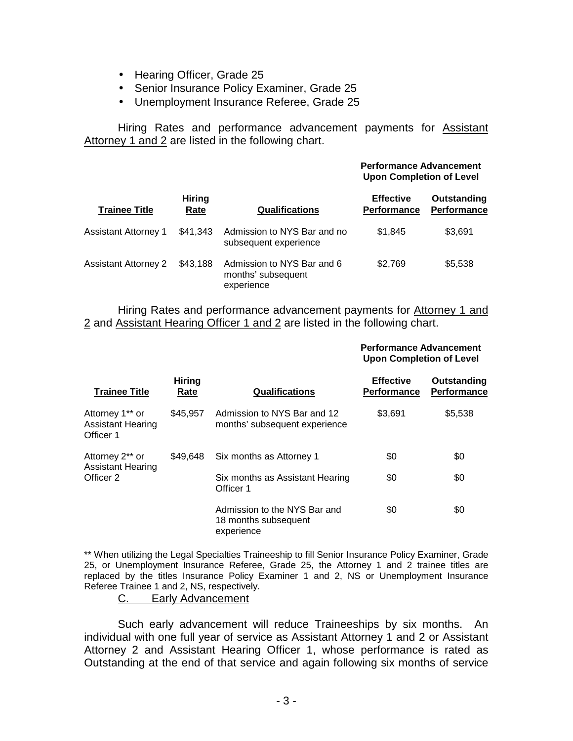- Hearing Officer, Grade 25
- Senior Insurance Policy Examiner, Grade 25
- Unemployment Insurance Referee, Grade 25

Hiring Rates and performance advancement payments for Assistant Attorney 1 and 2 are listed in the following chart.

| <b>Trainee Title</b>        | <b>Hiring</b><br>Rate | <b>Qualifications</b>                                          | <b>Performance Advancement</b><br><b>Upon Completion of Level</b> |                                   |
|-----------------------------|-----------------------|----------------------------------------------------------------|-------------------------------------------------------------------|-----------------------------------|
|                             |                       |                                                                | <b>Effective</b><br><b>Performance</b>                            | Outstanding<br><b>Performance</b> |
| <b>Assistant Attorney 1</b> | \$41,343              | Admission to NYS Bar and no<br>subsequent experience           | \$1,845                                                           | \$3,691                           |
| <b>Assistant Attorney 2</b> | \$43,188              | Admission to NYS Bar and 6<br>months' subsequent<br>experience | \$2,769                                                           | \$5,538                           |

Hiring Rates and performance advancement payments for Attorney 1 and 2 and Assistant Hearing Officer 1 and 2 are listed in the following chart.

#### **Performance Advancement Upon Completion of Level**

| <b>Trainee Title</b>                                     | <b>Hiring</b><br>Rate | <b>Qualifications</b>                                              | <b>Effective</b><br><b>Performance</b> | Outstanding<br><b>Performance</b> |
|----------------------------------------------------------|-----------------------|--------------------------------------------------------------------|----------------------------------------|-----------------------------------|
| Attorney 1** or<br><b>Assistant Hearing</b><br>Officer 1 | \$45,957              | Admission to NYS Bar and 12<br>months' subsequent experience       | \$3.691                                | \$5,538                           |
| Attorney 2** or<br><b>Assistant Hearing</b><br>Officer 2 | \$49.648              | Six months as Attorney 1                                           | \$0                                    | \$0                               |
|                                                          |                       | Six months as Assistant Hearing<br>Officer 1                       | \$0                                    | \$0                               |
|                                                          |                       | Admission to the NYS Bar and<br>18 months subsequent<br>experience | \$0                                    | \$0                               |

\*\* When utilizing the Legal Specialties Traineeship to fill Senior Insurance Policy Examiner, Grade 25, or Unemployment Insurance Referee, Grade 25, the Attorney 1 and 2 trainee titles are replaced by the titles Insurance Policy Examiner 1 and 2, NS or Unemployment Insurance Referee Trainee 1 and 2, NS, respectively.

#### C. Early Advancement

Such early advancement will reduce Traineeships by six months. An individual with one full year of service as Assistant Attorney 1 and 2 or Assistant Attorney 2 and Assistant Hearing Officer 1, whose performance is rated as Outstanding at the end of that service and again following six months of service